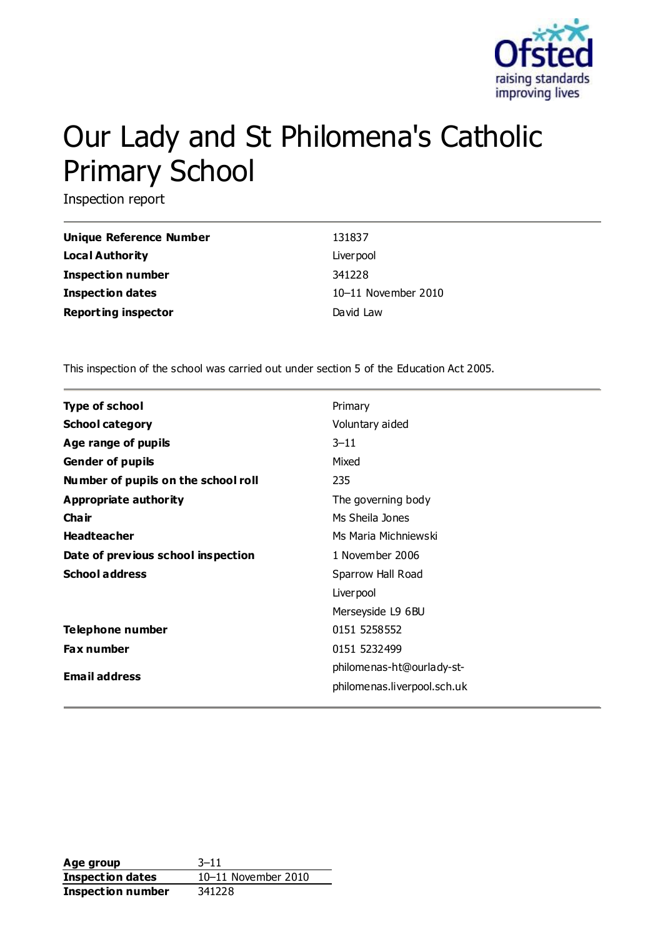

# Our Lady and St Philomena's Catholic Primary School

Inspection report

| Unique Reference Number    | 131837              |
|----------------------------|---------------------|
| <b>Local Authority</b>     | Liver pool          |
| Inspection number          | 341228              |
| <b>Inspection dates</b>    | 10-11 November 2010 |
| <b>Reporting inspector</b> | David Law           |

This inspection of the school was carried out under section 5 of the Education Act 2005.

| <b>Type of school</b>               | Primary                     |
|-------------------------------------|-----------------------------|
| <b>School category</b>              | Voluntary aided             |
| Age range of pupils                 | $3 - 11$                    |
| <b>Gender of pupils</b>             | Mixed                       |
| Number of pupils on the school roll | 235                         |
| Appropriate authority               | The governing body          |
| Cha ir                              | Ms Sheila Jones             |
| <b>Headteacher</b>                  | Ms Maria Michniewski        |
| Date of previous school inspection  | 1 November 2006             |
| <b>School address</b>               | Sparrow Hall Road           |
|                                     | Liver pool                  |
|                                     | Merseyside L9 6BU           |
| Telephone number                    | 0151 5258552                |
| <b>Fax number</b>                   | 0151 5232499                |
|                                     | philomenas-ht@ourlady-st-   |
| <b>Email address</b>                | philomenas.liverpool.sch.uk |
|                                     |                             |

**Age group** 3–11 **Inspection dates** 10–11 November 2010 **Inspection number** 341228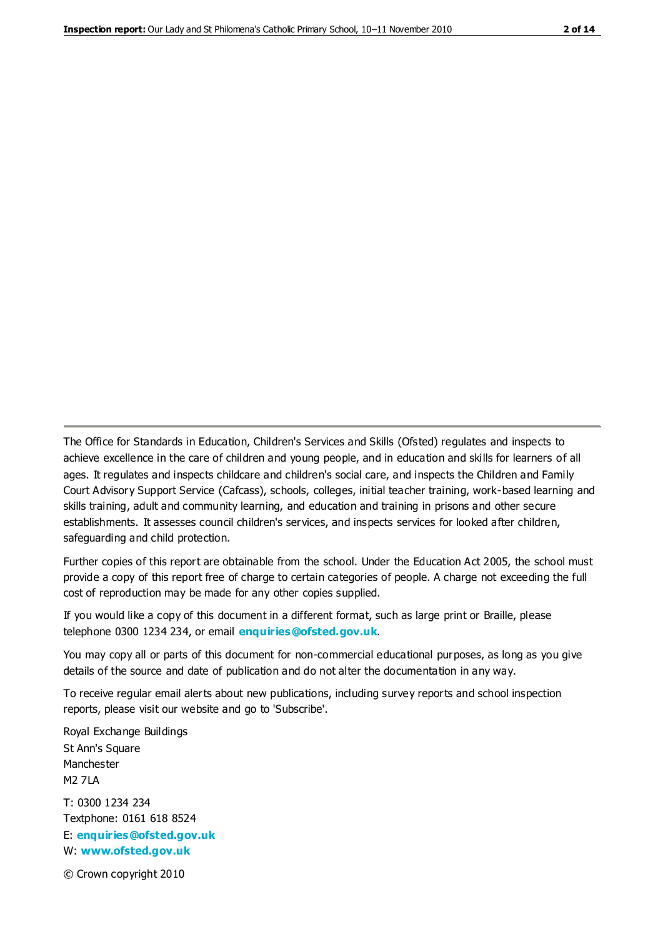The Office for Standards in Education, Children's Services and Skills (Ofsted) regulates and inspects to achieve excellence in the care of children and young people, and in education and skills for learners of all ages. It regulates and inspects childcare and children's social care, and inspects the Children and Family Court Advisory Support Service (Cafcass), schools, colleges, initial teacher training, work-based learning and skills training, adult and community learning, and education and training in prisons and other secure establishments. It assesses council children's services, and inspects services for looked after children, safeguarding and child protection.

Further copies of this report are obtainable from the school. Under the Education Act 2005, the school must provide a copy of this report free of charge to certain categories of people. A charge not exceeding the full cost of reproduction may be made for any other copies supplied.

If you would like a copy of this document in a different format, such as large print or Braille, please telephone 0300 1234 234, or email **[enquiries@ofsted.gov.uk](mailto:enquiries@ofsted.gov.uk)**.

You may copy all or parts of this document for non-commercial educational purposes, as long as you give details of the source and date of publication and do not alter the documentation in any way.

To receive regular email alerts about new publications, including survey reports and school inspection reports, please visit our website and go to 'Subscribe'.

Royal Exchange Buildings St Ann's Square Manchester M2 7LA T: 0300 1234 234 Textphone: 0161 618 8524 E: **[enquiries@ofsted.gov.uk](mailto:enquiries@ofsted.gov.uk)**

W: **[www.ofsted.gov.uk](http://www.ofsted.gov.uk/)**

© Crown copyright 2010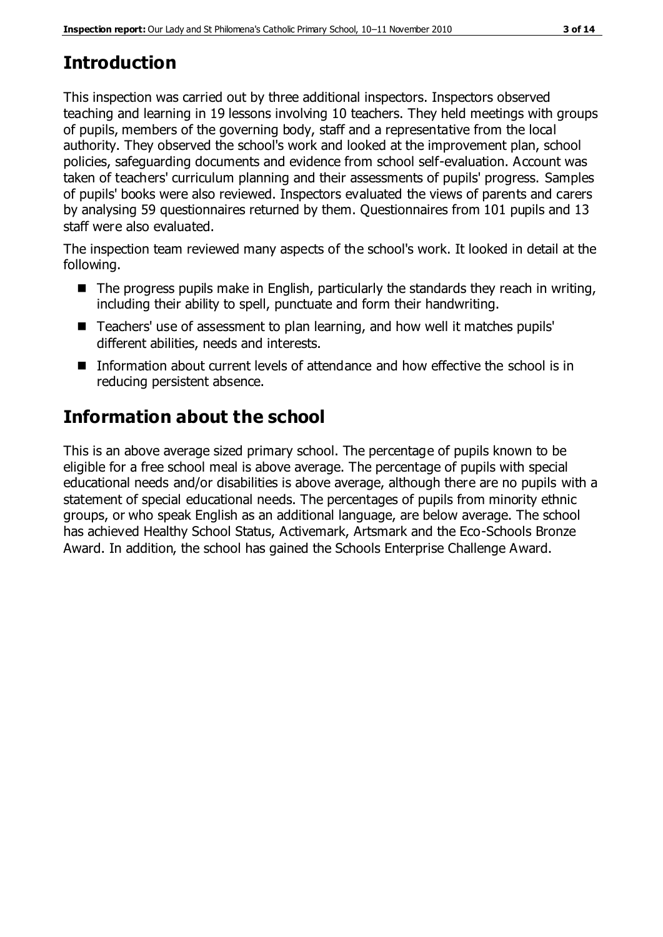# **Introduction**

This inspection was carried out by three additional inspectors. Inspectors observed teaching and learning in 19 lessons involving 10 teachers. They held meetings with groups of pupils, members of the governing body, staff and a representative from the local authority. They observed the school's work and looked at the improvement plan, school policies, safeguarding documents and evidence from school self-evaluation. Account was taken of teachers' curriculum planning and their assessments of pupils' progress. Samples of pupils' books were also reviewed. Inspectors evaluated the views of parents and carers by analysing 59 questionnaires returned by them. Questionnaires from 101 pupils and 13 staff were also evaluated.

The inspection team reviewed many aspects of the school's work. It looked in detail at the following.

- $\blacksquare$  The progress pupils make in English, particularly the standards they reach in writing, including their ability to spell, punctuate and form their handwriting.
- Teachers' use of assessment to plan learning, and how well it matches pupils' different abilities, needs and interests.
- Information about current levels of attendance and how effective the school is in reducing persistent absence.

# **Information about the school**

This is an above average sized primary school. The percentage of pupils known to be eligible for a free school meal is above average. The percentage of pupils with special educational needs and/or disabilities is above average, although there are no pupils with a statement of special educational needs. The percentages of pupils from minority ethnic groups, or who speak English as an additional language, are below average. The school has achieved Healthy School Status, Activemark, Artsmark and the Eco-Schools Bronze Award. In addition, the school has gained the Schools Enterprise Challenge Award.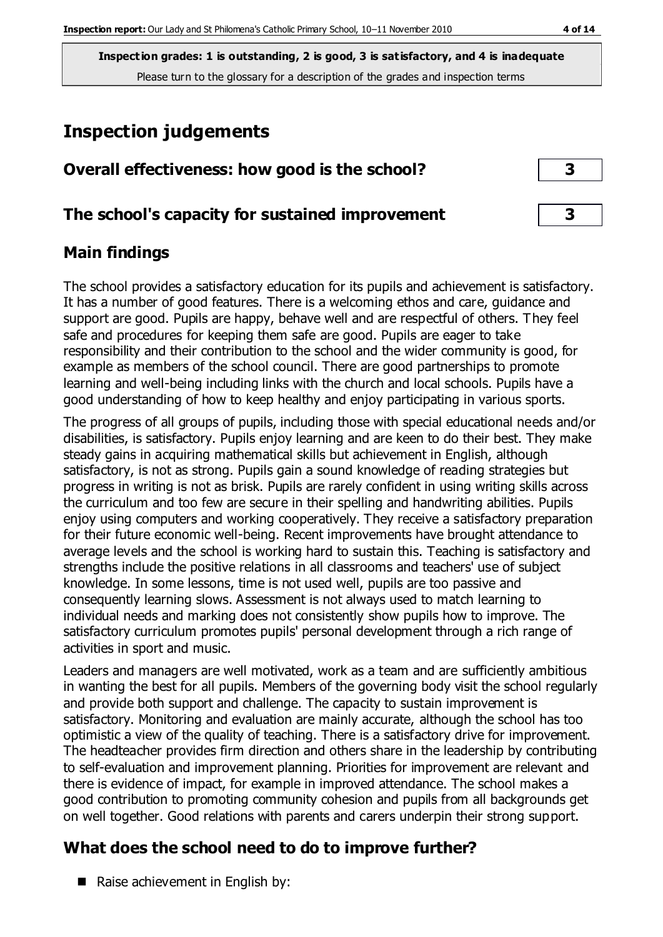**Inspection grades: 1 is outstanding, 2 is good, 3 is satisfactory, and 4 is inadequate** Please turn to the glossary for a description of the grades and inspection terms

# **Inspection judgements**

| Overall effectiveness: how good is the school?  |  |
|-------------------------------------------------|--|
| The school's capacity for sustained improvement |  |

## **Main findings**

The school provides a satisfactory education for its pupils and achievement is satisfactory. It has a number of good features. There is a welcoming ethos and care, guidance and support are good. Pupils are happy, behave well and are respectful of others. They feel safe and procedures for keeping them safe are good. Pupils are eager to take responsibility and their contribution to the school and the wider community is good, for example as members of the school council. There are good partnerships to promote learning and well-being including links with the church and local schools. Pupils have a good understanding of how to keep healthy and enjoy participating in various sports.

The progress of all groups of pupils, including those with special educational needs and/or disabilities, is satisfactory. Pupils enjoy learning and are keen to do their best. They make steady gains in acquiring mathematical skills but achievement in English, although satisfactory, is not as strong. Pupils gain a sound knowledge of reading strategies but progress in writing is not as brisk. Pupils are rarely confident in using writing skills across the curriculum and too few are secure in their spelling and handwriting abilities. Pupils enjoy using computers and working cooperatively. They receive a satisfactory preparation for their future economic well-being. Recent improvements have brought attendance to average levels and the school is working hard to sustain this. Teaching is satisfactory and strengths include the positive relations in all classrooms and teachers' use of subject knowledge. In some lessons, time is not used well, pupils are too passive and consequently learning slows. Assessment is not always used to match learning to individual needs and marking does not consistently show pupils how to improve. The satisfactory curriculum promotes pupils' personal development through a rich range of activities in sport and music.

Leaders and managers are well motivated, work as a team and are sufficiently ambitious in wanting the best for all pupils. Members of the governing body visit the school regularly and provide both support and challenge. The capacity to sustain improvement is satisfactory. Monitoring and evaluation are mainly accurate, although the school has too optimistic a view of the quality of teaching. There is a satisfactory drive for improvement. The headteacher provides firm direction and others share in the leadership by contributing to self-evaluation and improvement planning. Priorities for improvement are relevant and there is evidence of impact, for example in improved attendance. The school makes a good contribution to promoting community cohesion and pupils from all backgrounds get on well together. Good relations with parents and carers underpin their strong support.

## **What does the school need to do to improve further?**

Raise achievement in English by: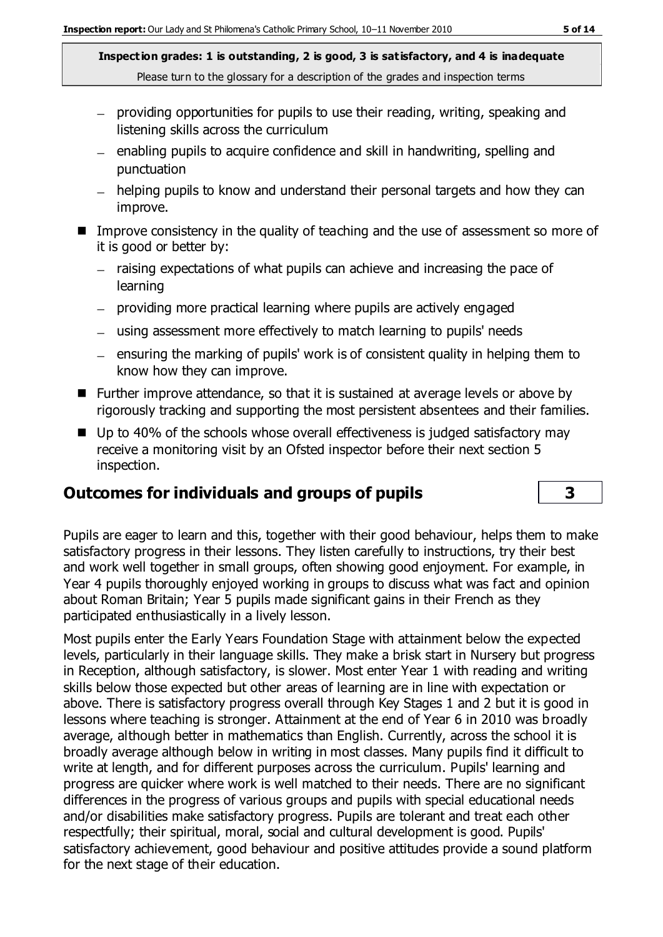**Inspection grades: 1 is outstanding, 2 is good, 3 is satisfactory, and 4 is inadequate** Please turn to the glossary for a description of the grades and inspection terms

- providing opportunities for pupils to use their reading, writing, speaking and listening skills across the curriculum
- enabling pupils to acquire confidence and skill in handwriting, spelling and punctuation
- helping pupils to know and understand their personal targets and how they can improve.
- Improve consistency in the quality of teaching and the use of assessment so more of it is good or better by:
	- raising expectations of what pupils can achieve and increasing the pace of learning
	- providing more practical learning where pupils are actively engaged
	- using assessment more effectively to match learning to pupils' needs
	- $-$  ensuring the marking of pupils' work is of consistent quality in helping them to know how they can improve.
- Further improve attendance, so that it is sustained at average levels or above by rigorously tracking and supporting the most persistent absentees and their families.
- Up to 40% of the schools whose overall effectiveness is judged satisfactory may receive a monitoring visit by an Ofsted inspector before their next section 5 inspection.

#### **Outcomes for individuals and groups of pupils 3**

Pupils are eager to learn and this, together with their good behaviour, helps them to make satisfactory progress in their lessons. They listen carefully to instructions, try their best and work well together in small groups, often showing good enjoyment. For example, in Year 4 pupils thoroughly enjoyed working in groups to discuss what was fact and opinion about Roman Britain; Year 5 pupils made significant gains in their French as they participated enthusiastically in a lively lesson.

Most pupils enter the Early Years Foundation Stage with attainment below the expected levels, particularly in their language skills. They make a brisk start in Nursery but progress in Reception, although satisfactory, is slower. Most enter Year 1 with reading and writing skills below those expected but other areas of learning are in line with expectation or above. There is satisfactory progress overall through Key Stages 1 and 2 but it is good in lessons where teaching is stronger. Attainment at the end of Year 6 in 2010 was broadly average, although better in mathematics than English. Currently, across the school it is broadly average although below in writing in most classes. Many pupils find it difficult to write at length, and for different purposes across the curriculum. Pupils' learning and progress are quicker where work is well matched to their needs. There are no significant differences in the progress of various groups and pupils with special educational needs and/or disabilities make satisfactory progress. Pupils are tolerant and treat each other respectfully; their spiritual, moral, social and cultural development is good. Pupils' satisfactory achievement, good behaviour and positive attitudes provide a sound platform for the next stage of their education.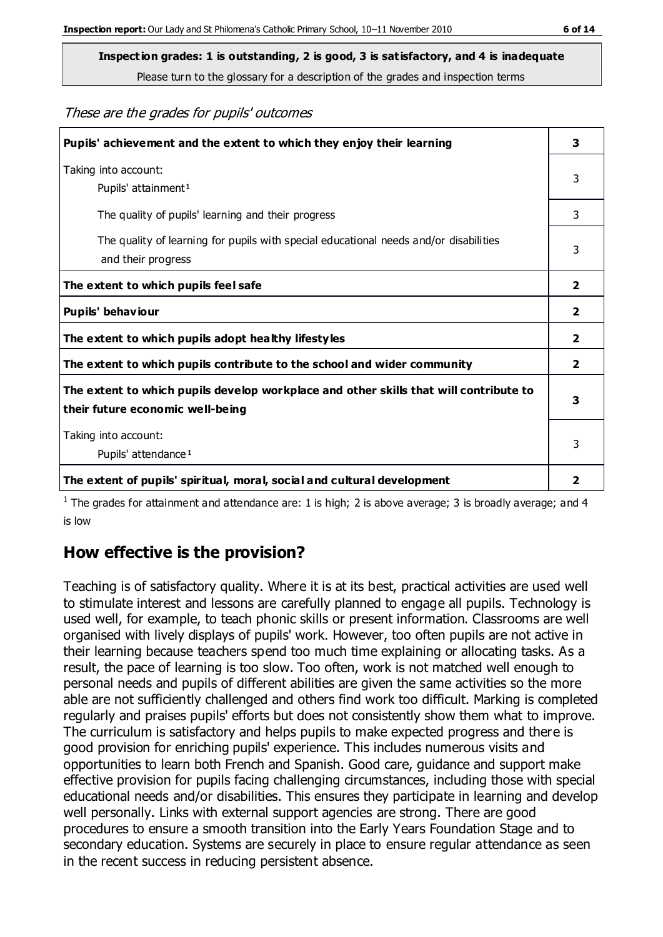Please turn to the glossary for a description of the grades and inspection terms

#### These are the grades for pupils' outcomes

| Pupils' achievement and the extent to which they enjoy their learning                                                     | 3            |
|---------------------------------------------------------------------------------------------------------------------------|--------------|
| Taking into account:<br>Pupils' attainment <sup>1</sup>                                                                   |              |
| The quality of pupils' learning and their progress                                                                        | 3            |
| The quality of learning for pupils with special educational needs and/or disabilities<br>and their progress               | 3            |
| The extent to which pupils feel safe                                                                                      | $\mathbf{2}$ |
| Pupils' behaviour                                                                                                         | $\mathbf{2}$ |
| The extent to which pupils adopt healthy lifestyles                                                                       | 2            |
| The extent to which pupils contribute to the school and wider community                                                   | 2            |
| The extent to which pupils develop workplace and other skills that will contribute to<br>their future economic well-being |              |
| Taking into account:<br>Pupils' attendance <sup>1</sup>                                                                   |              |
| The extent of pupils' spiritual, moral, social and cultural development                                                   | 2            |

<sup>1</sup> The grades for attainment and attendance are: 1 is high; 2 is above average; 3 is broadly average; and 4 is low

#### **How effective is the provision?**

Teaching is of satisfactory quality. Where it is at its best, practical activities are used well to stimulate interest and lessons are carefully planned to engage all pupils. Technology is used well, for example, to teach phonic skills or present information. Classrooms are well organised with lively displays of pupils' work. However, too often pupils are not active in their learning because teachers spend too much time explaining or allocating tasks. As a result, the pace of learning is too slow. Too often, work is not matched well enough to personal needs and pupils of different abilities are given the same activities so the more able are not sufficiently challenged and others find work too difficult. Marking is completed regularly and praises pupils' efforts but does not consistently show them what to improve. The curriculum is satisfactory and helps pupils to make expected progress and there is good provision for enriching pupils' experience. This includes numerous visits and opportunities to learn both French and Spanish. Good care, guidance and support make effective provision for pupils facing challenging circumstances, including those with special educational needs and/or disabilities. This ensures they participate in learning and develop well personally. Links with external support agencies are strong. There are good procedures to ensure a smooth transition into the Early Years Foundation Stage and to secondary education. Systems are securely in place to ensure regular attendance as seen in the recent success in reducing persistent absence.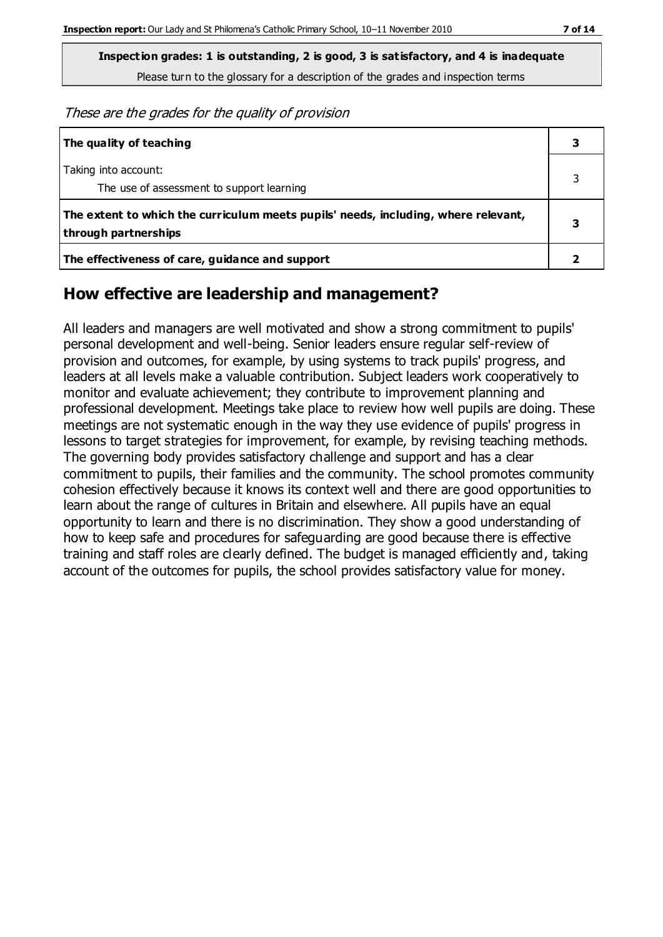**Inspection grades: 1 is outstanding, 2 is good, 3 is satisfactory, and 4 is inadequate** Please turn to the glossary for a description of the grades and inspection terms

These are the grades for the quality of provision

| The quality of teaching                                                                                    |  |
|------------------------------------------------------------------------------------------------------------|--|
| Taking into account:<br>The use of assessment to support learning                                          |  |
| The extent to which the curriculum meets pupils' needs, including, where relevant,<br>through partnerships |  |
| The effectiveness of care, guidance and support                                                            |  |

#### **How effective are leadership and management?**

All leaders and managers are well motivated and show a strong commitment to pupils' personal development and well-being. Senior leaders ensure regular self-review of provision and outcomes, for example, by using systems to track pupils' progress, and leaders at all levels make a valuable contribution. Subject leaders work cooperatively to monitor and evaluate achievement; they contribute to improvement planning and professional development. Meetings take place to review how well pupils are doing. These meetings are not systematic enough in the way they use evidence of pupils' progress in lessons to target strategies for improvement, for example, by revising teaching methods. The governing body provides satisfactory challenge and support and has a clear commitment to pupils, their families and the community. The school promotes community cohesion effectively because it knows its context well and there are good opportunities to learn about the range of cultures in Britain and elsewhere. All pupils have an equal opportunity to learn and there is no discrimination. They show a good understanding of how to keep safe and procedures for safeguarding are good because there is effective training and staff roles are clearly defined. The budget is managed efficiently and, taking account of the outcomes for pupils, the school provides satisfactory value for money.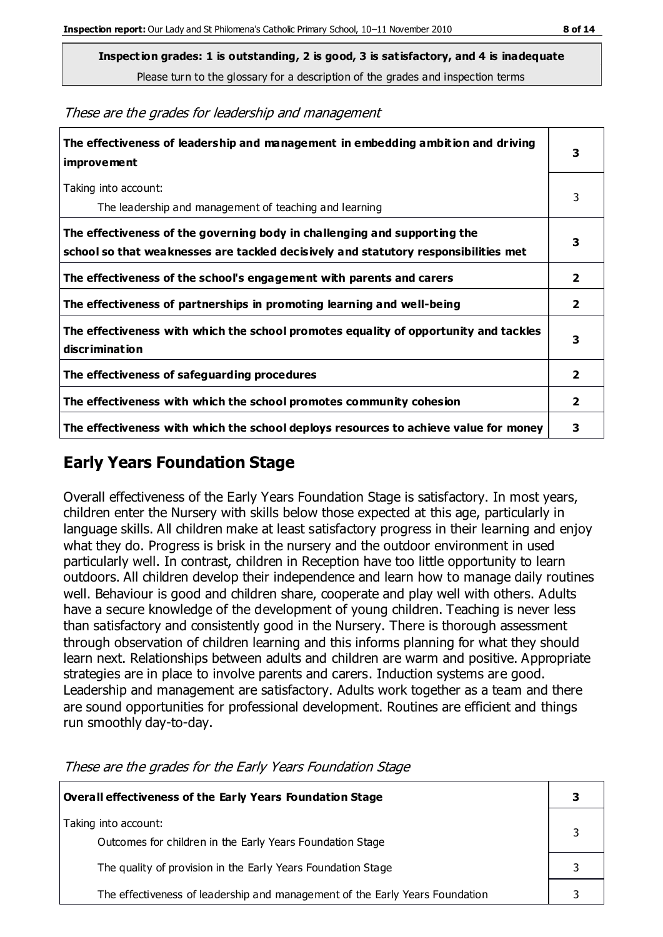**Inspection grades: 1 is outstanding, 2 is good, 3 is satisfactory, and 4 is inadequate**

Please turn to the glossary for a description of the grades and inspection terms

These are the grades for leadership and management

| The effectiveness of leadership and management in embedding ambition and driving<br>improvement                                                                  |                         |
|------------------------------------------------------------------------------------------------------------------------------------------------------------------|-------------------------|
| Taking into account:<br>The leadership and management of teaching and learning                                                                                   | 3                       |
| The effectiveness of the governing body in challenging and supporting the<br>school so that weaknesses are tackled decisively and statutory responsibilities met | 3                       |
| The effectiveness of the school's engagement with parents and carers                                                                                             | $\mathbf{2}$            |
| The effectiveness of partnerships in promoting learning and well-being                                                                                           | $\mathbf{2}$            |
| The effectiveness with which the school promotes equality of opportunity and tackles<br>discrimination                                                           | 3                       |
| The effectiveness of safeguarding procedures                                                                                                                     | $\overline{\mathbf{2}}$ |
| The effectiveness with which the school promotes community cohesion                                                                                              | $\overline{2}$          |
| The effectiveness with which the school deploys resources to achieve value for money                                                                             | 3                       |

### **Early Years Foundation Stage**

Overall effectiveness of the Early Years Foundation Stage is satisfactory. In most years, children enter the Nursery with skills below those expected at this age, particularly in language skills. All children make at least satisfactory progress in their learning and enjoy what they do. Progress is brisk in the nursery and the outdoor environment in used particularly well. In contrast, children in Reception have too little opportunity to learn outdoors. All children develop their independence and learn how to manage daily routines well. Behaviour is good and children share, cooperate and play well with others. Adults have a secure knowledge of the development of young children. Teaching is never less than satisfactory and consistently good in the Nursery. There is thorough assessment through observation of children learning and this informs planning for what they should learn next. Relationships between adults and children are warm and positive. Appropriate strategies are in place to involve parents and carers. Induction systems are good. Leadership and management are satisfactory. Adults work together as a team and there are sound opportunities for professional development. Routines are efficient and things run smoothly day-to-day.

**Overall effectiveness of the Early Years Foundation Stage 3** Taking into account: Outcomes for children in the Early Years Foundation Stage 3 The quality of provision in the Early Years Foundation Stage **3 3** The effectiveness of leadership and management of the Early Years Foundation  $\vert$  3

These are the grades for the Early Years Foundation Stage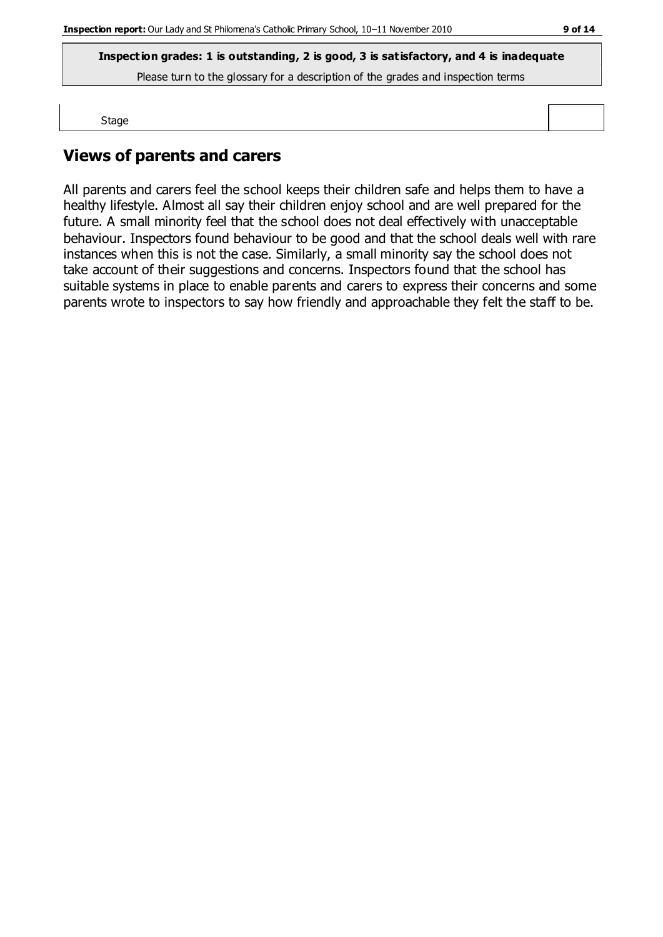**Inspection grades: 1 is outstanding, 2 is good, 3 is satisfactory, and 4 is inadequate**

Please turn to the glossary for a description of the grades and inspection terms

Stage

## **Views of parents and carers**

All parents and carers feel the school keeps their children safe and helps them to have a healthy lifestyle. Almost all say their children enjoy school and are well prepared for the future. A small minority feel that the school does not deal effectively with unacceptable behaviour. Inspectors found behaviour to be good and that the school deals well with rare instances when this is not the case. Similarly, a small minority say the school does not take account of their suggestions and concerns. Inspectors found that the school has suitable systems in place to enable parents and carers to express their concerns and some parents wrote to inspectors to say how friendly and approachable they felt the staff to be.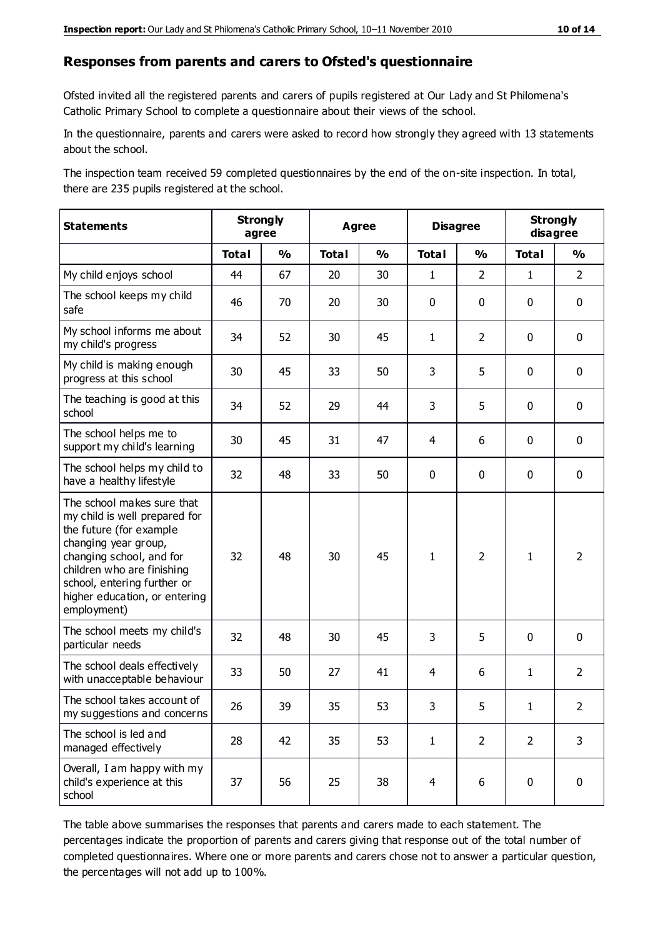#### **Responses from parents and carers to Ofsted's questionnaire**

Ofsted invited all the registered parents and carers of pupils registered at Our Lady and St Philomena's Catholic Primary School to complete a questionnaire about their views of the school.

In the questionnaire, parents and carers were asked to record how strongly they agreed with 13 statements about the school.

The inspection team received 59 completed questionnaires by the end of the on-site inspection. In total, there are 235 pupils registered at the school.

| <b>Statements</b>                                                                                                                                                                                                                                       | <b>Strongly</b><br>agree |               | Agree        |               | <b>Disagree</b> |                | <b>Strongly</b><br>disagree |                |
|---------------------------------------------------------------------------------------------------------------------------------------------------------------------------------------------------------------------------------------------------------|--------------------------|---------------|--------------|---------------|-----------------|----------------|-----------------------------|----------------|
|                                                                                                                                                                                                                                                         | <b>Total</b>             | $\frac{1}{2}$ | <b>Total</b> | $\frac{1}{2}$ | <b>Total</b>    | $\frac{0}{0}$  | <b>Total</b>                | $\frac{1}{2}$  |
| My child enjoys school                                                                                                                                                                                                                                  | 44                       | 67            | 20           | 30            | $\mathbf{1}$    | $\overline{2}$ | $\mathbf{1}$                | $\overline{2}$ |
| The school keeps my child<br>safe                                                                                                                                                                                                                       | 46                       | 70            | 20           | 30            | 0               | $\mathbf 0$    | $\mathbf 0$                 | $\mathbf 0$    |
| My school informs me about<br>my child's progress                                                                                                                                                                                                       | 34                       | 52            | 30           | 45            | $\mathbf{1}$    | $\overline{2}$ | $\mathbf 0$                 | $\mathbf 0$    |
| My child is making enough<br>progress at this school                                                                                                                                                                                                    | 30                       | 45            | 33           | 50            | 3               | 5              | $\mathbf 0$                 | $\mathbf 0$    |
| The teaching is good at this<br>school                                                                                                                                                                                                                  | 34                       | 52            | 29           | 44            | 3               | 5              | $\mathbf 0$                 | $\mathbf 0$    |
| The school helps me to<br>support my child's learning                                                                                                                                                                                                   | 30                       | 45            | 31           | 47            | 4               | 6              | $\mathbf 0$                 | $\mathbf 0$    |
| The school helps my child to<br>have a healthy lifestyle                                                                                                                                                                                                | 32                       | 48            | 33           | 50            | 0               | $\mathbf 0$    | $\mathbf 0$                 | $\mathbf 0$    |
| The school makes sure that<br>my child is well prepared for<br>the future (for example<br>changing year group,<br>changing school, and for<br>children who are finishing<br>school, entering further or<br>higher education, or entering<br>employment) | 32                       | 48            | 30           | 45            | $\mathbf{1}$    | $\overline{2}$ | $\mathbf{1}$                | $\overline{2}$ |
| The school meets my child's<br>particular needs                                                                                                                                                                                                         | 32                       | 48            | 30           | 45            | 3               | 5              | $\mathbf 0$                 | $\mathbf 0$    |
| The school deals effectively<br>with unacceptable behaviour                                                                                                                                                                                             | 33                       | 50            | 27           | 41            | 4               | 6              | $\mathbf{1}$                | $\overline{2}$ |
| The school takes account of<br>my suggestions and concerns                                                                                                                                                                                              | 26                       | 39            | 35           | 53            | 3               | 5              | 1                           | $\overline{2}$ |
| The school is led and<br>managed effectively                                                                                                                                                                                                            | 28                       | 42            | 35           | 53            | $\mathbf{1}$    | $\overline{2}$ | $\overline{2}$              | 3              |
| Overall, I am happy with my<br>child's experience at this<br>school                                                                                                                                                                                     | 37                       | 56            | 25           | 38            | $\overline{4}$  | 6              | $\mathbf 0$                 | $\pmb{0}$      |

The table above summarises the responses that parents and carers made to each statement. The percentages indicate the proportion of parents and carers giving that response out of the total number of completed questionnaires. Where one or more parents and carers chose not to answer a particular question, the percentages will not add up to 100%.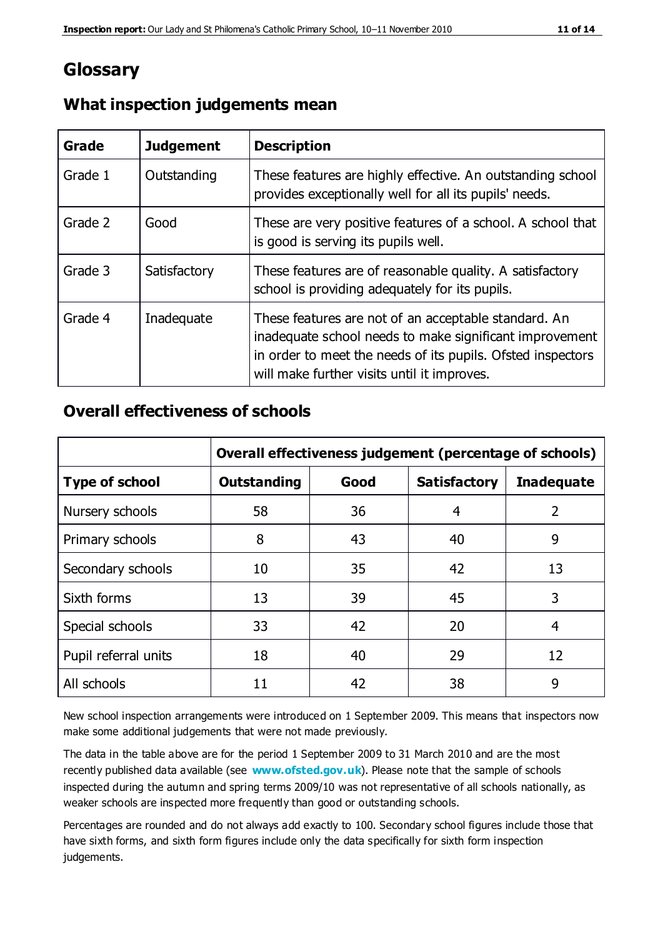## **Glossary**

| Grade   | <b>Judgement</b> | <b>Description</b>                                                                                                                                                                                                            |
|---------|------------------|-------------------------------------------------------------------------------------------------------------------------------------------------------------------------------------------------------------------------------|
| Grade 1 | Outstanding      | These features are highly effective. An outstanding school<br>provides exceptionally well for all its pupils' needs.                                                                                                          |
| Grade 2 | Good             | These are very positive features of a school. A school that<br>is good is serving its pupils well.                                                                                                                            |
| Grade 3 | Satisfactory     | These features are of reasonable quality. A satisfactory<br>school is providing adequately for its pupils.                                                                                                                    |
| Grade 4 | Inadequate       | These features are not of an acceptable standard. An<br>inadequate school needs to make significant improvement<br>in order to meet the needs of its pupils. Ofsted inspectors<br>will make further visits until it improves. |

#### **What inspection judgements mean**

#### **Overall effectiveness of schools**

|                       | Overall effectiveness judgement (percentage of schools) |      |                     |                   |
|-----------------------|---------------------------------------------------------|------|---------------------|-------------------|
| <b>Type of school</b> | <b>Outstanding</b>                                      | Good | <b>Satisfactory</b> | <b>Inadequate</b> |
| Nursery schools       | 58                                                      | 36   | 4                   | 2                 |
| Primary schools       | 8                                                       | 43   | 40                  | 9                 |
| Secondary schools     | 10                                                      | 35   | 42                  | 13                |
| Sixth forms           | 13                                                      | 39   | 45                  | 3                 |
| Special schools       | 33                                                      | 42   | 20                  | 4                 |
| Pupil referral units  | 18                                                      | 40   | 29                  | 12                |
| All schools           | 11                                                      | 42   | 38                  | 9                 |

New school inspection arrangements were introduced on 1 September 2009. This means that inspectors now make some additional judgements that were not made previously.

The data in the table above are for the period 1 September 2009 to 31 March 2010 and are the most recently published data available (see **[www.ofsted.gov.uk](http://www.ofsted.gov.uk/)**). Please note that the sample of schools inspected during the autumn and spring terms 2009/10 was not representative of all schools nationally, as weaker schools are inspected more frequently than good or outstanding schools.

Percentages are rounded and do not always add exactly to 100. Secondary school figures include those that have sixth forms, and sixth form figures include only the data specifically for sixth form inspection judgements.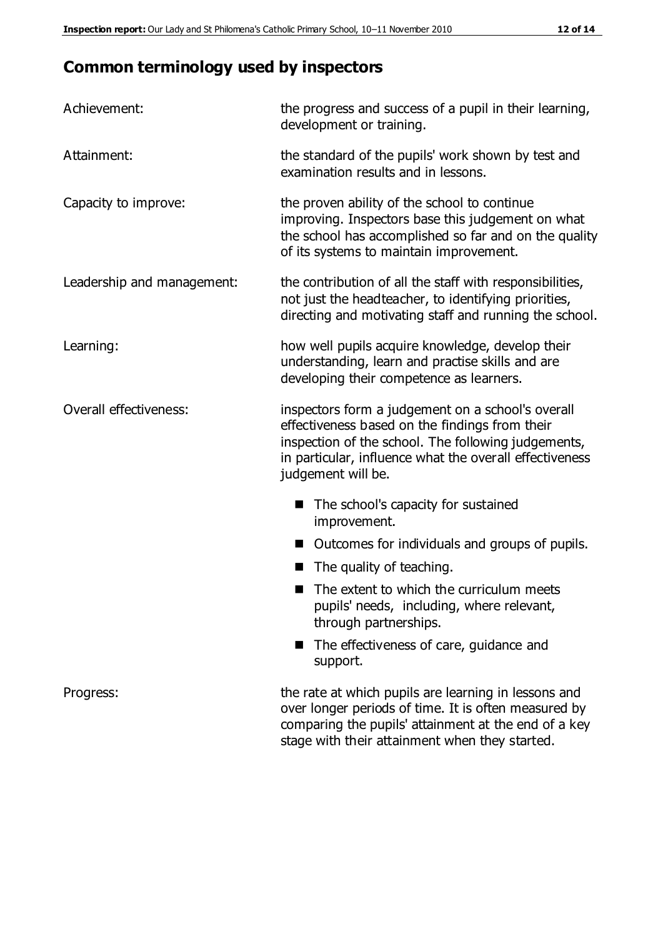## **Common terminology used by inspectors**

| Achievement:               | the progress and success of a pupil in their learning,<br>development or training.                                                                                                                                                          |  |  |
|----------------------------|---------------------------------------------------------------------------------------------------------------------------------------------------------------------------------------------------------------------------------------------|--|--|
| Attainment:                | the standard of the pupils' work shown by test and<br>examination results and in lessons.                                                                                                                                                   |  |  |
| Capacity to improve:       | the proven ability of the school to continue<br>improving. Inspectors base this judgement on what<br>the school has accomplished so far and on the quality<br>of its systems to maintain improvement.                                       |  |  |
| Leadership and management: | the contribution of all the staff with responsibilities,<br>not just the headteacher, to identifying priorities,<br>directing and motivating staff and running the school.                                                                  |  |  |
| Learning:                  | how well pupils acquire knowledge, develop their<br>understanding, learn and practise skills and are<br>developing their competence as learners.                                                                                            |  |  |
| Overall effectiveness:     | inspectors form a judgement on a school's overall<br>effectiveness based on the findings from their<br>inspection of the school. The following judgements,<br>in particular, influence what the overall effectiveness<br>judgement will be. |  |  |
|                            | The school's capacity for sustained<br>improvement.                                                                                                                                                                                         |  |  |
|                            | Outcomes for individuals and groups of pupils.                                                                                                                                                                                              |  |  |
|                            | The quality of teaching.                                                                                                                                                                                                                    |  |  |
|                            | The extent to which the curriculum meets<br>pupils' needs, including, where relevant,<br>through partnerships.                                                                                                                              |  |  |
|                            | The effectiveness of care, guidance and<br>support.                                                                                                                                                                                         |  |  |
| Progress:                  | the rate at which pupils are learning in lessons and<br>over longer periods of time. It is often measured by<br>comparing the pupils' attainment at the end of a key                                                                        |  |  |

stage with their attainment when they started.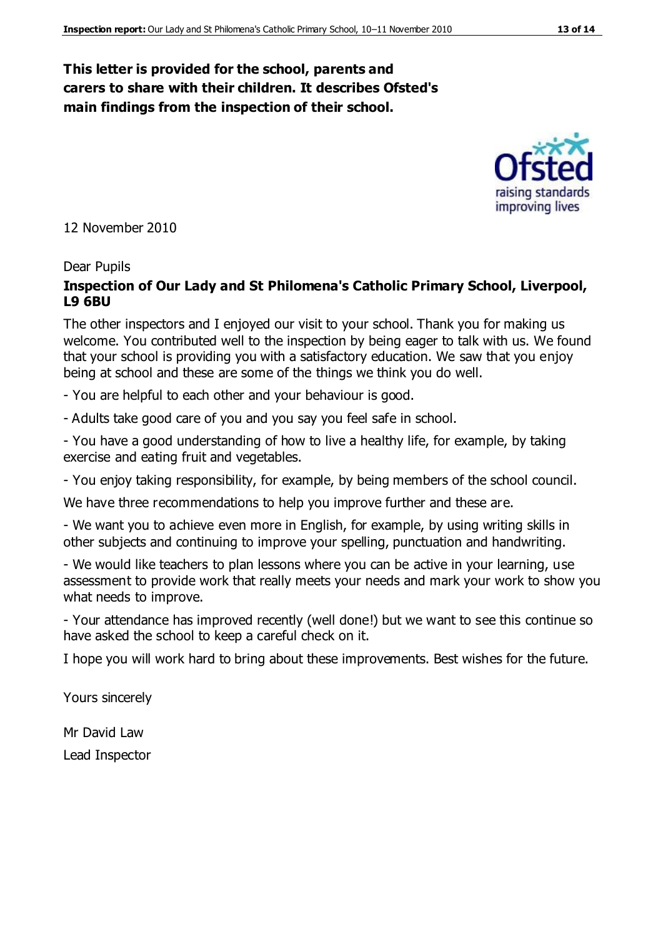#### **This letter is provided for the school, parents and carers to share with their children. It describes Ofsted's main findings from the inspection of their school.**

12 November 2010

#### Dear Pupils

#### **Inspection of Our Lady and St Philomena's Catholic Primary School, Liverpool, L9 6BU**

The other inspectors and I enjoyed our visit to your school. Thank you for making us welcome. You contributed well to the inspection by being eager to talk with us. We found that your school is providing you with a satisfactory education. We saw that you enjoy being at school and these are some of the things we think you do well.

- You are helpful to each other and your behaviour is good.

- Adults take good care of you and you say you feel safe in school.

- You have a good understanding of how to live a healthy life, for example, by taking exercise and eating fruit and vegetables.

- You enjoy taking responsibility, for example, by being members of the school council.

We have three recommendations to help you improve further and these are.

- We want you to achieve even more in English, for example, by using writing skills in other subjects and continuing to improve your spelling, punctuation and handwriting.

- We would like teachers to plan lessons where you can be active in your learning, use assessment to provide work that really meets your needs and mark your work to show you what needs to improve.

- Your attendance has improved recently (well done!) but we want to see this continue so have asked the school to keep a careful check on it.

I hope you will work hard to bring about these improvements. Best wishes for the future.

Yours sincerely

Mr David Law

Lead Inspector